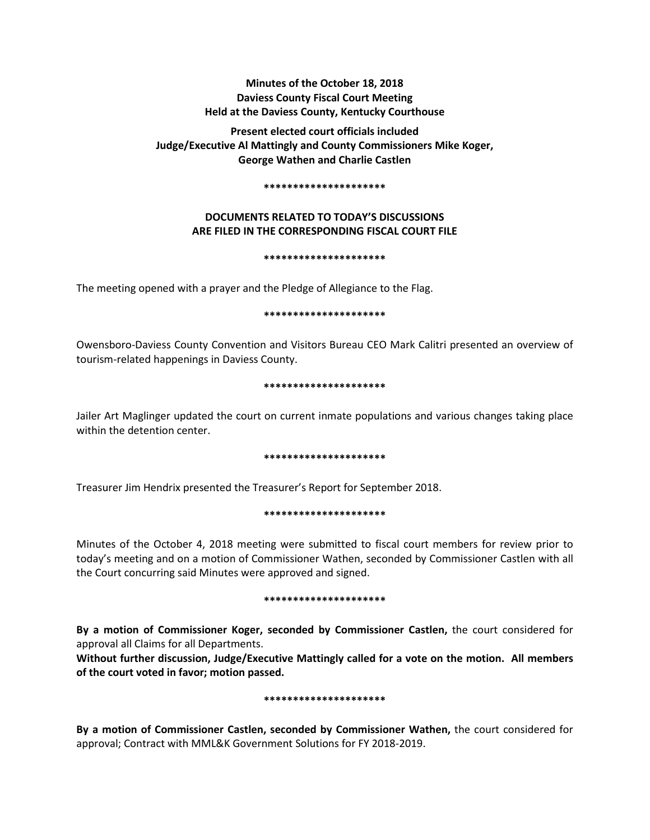# **Minutes of the October 18, 2018 Daviess County Fiscal Court Meeting Held at the Daviess County, Kentucky Courthouse**

**Present elected court officials included Judge/Executive Al Mattingly and County Commissioners Mike Koger, George Wathen and Charlie Castlen** 

#### **\*\*\*\*\*\*\*\*\*\*\*\*\*\*\*\*\*\*\*\*\***

## **DOCUMENTS RELATED TO TODAY'S DISCUSSIONS ARE FILED IN THE CORRESPONDING FISCAL COURT FILE**

#### **\*\*\*\*\*\*\*\*\*\*\*\*\*\*\*\*\*\*\*\*\***

The meeting opened with a prayer and the Pledge of Allegiance to the Flag.

### **\*\*\*\*\*\*\*\*\*\*\*\*\*\*\*\*\*\*\*\*\***

Owensboro-Daviess County Convention and Visitors Bureau CEO Mark Calitri presented an overview of tourism-related happenings in Daviess County.

### **\*\*\*\*\*\*\*\*\*\*\*\*\*\*\*\*\*\*\*\*\***

Jailer Art Maglinger updated the court on current inmate populations and various changes taking place within the detention center.

### **\*\*\*\*\*\*\*\*\*\*\*\*\*\*\*\*\*\*\*\*\***

Treasurer Jim Hendrix presented the Treasurer's Report for September 2018.

### **\*\*\*\*\*\*\*\*\*\*\*\*\*\*\*\*\*\*\*\*\***

Minutes of the October 4, 2018 meeting were submitted to fiscal court members for review prior to today's meeting and on a motion of Commissioner Wathen, seconded by Commissioner Castlen with all the Court concurring said Minutes were approved and signed.

### **\*\*\*\*\*\*\*\*\*\*\*\*\*\*\*\*\*\*\*\*\***

**By a motion of Commissioner Koger, seconded by Commissioner Castlen,** the court considered for approval all Claims for all Departments.

**Without further discussion, Judge/Executive Mattingly called for a vote on the motion. All members of the court voted in favor; motion passed.** 

### **\*\*\*\*\*\*\*\*\*\*\*\*\*\*\*\*\*\*\*\*\***

**By a motion of Commissioner Castlen, seconded by Commissioner Wathen,** the court considered for approval; Contract with MML&K Government Solutions for FY 2018-2019.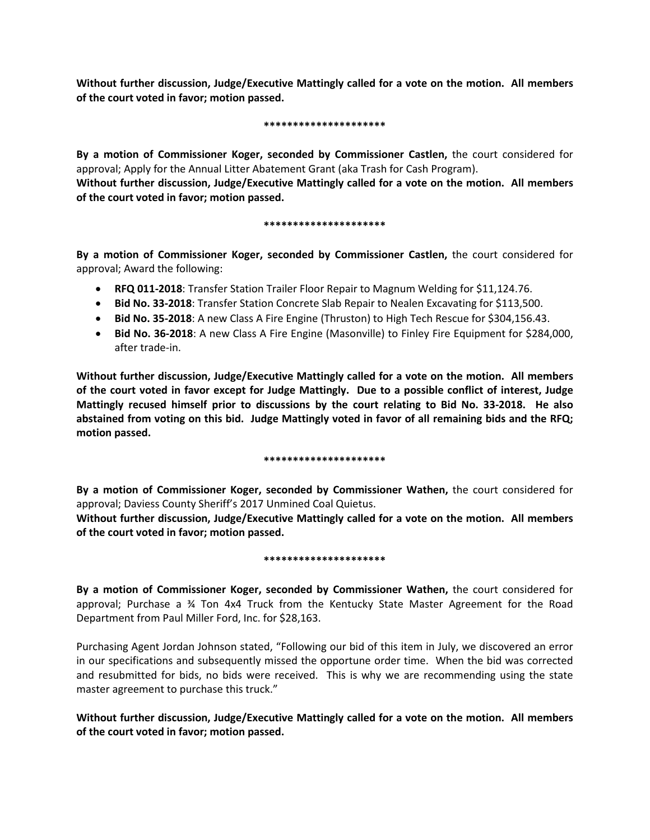**Without further discussion, Judge/Executive Mattingly called for a vote on the motion. All members of the court voted in favor; motion passed.** 

### **\*\*\*\*\*\*\*\*\*\*\*\*\*\*\*\*\*\*\*\*\***

**By a motion of Commissioner Koger, seconded by Commissioner Castlen,** the court considered for approval; Apply for the Annual Litter Abatement Grant (aka Trash for Cash Program). **Without further discussion, Judge/Executive Mattingly called for a vote on the motion. All members of the court voted in favor; motion passed.** 

## **\*\*\*\*\*\*\*\*\*\*\*\*\*\*\*\*\*\*\*\*\***

**By a motion of Commissioner Koger, seconded by Commissioner Castlen,** the court considered for approval; Award the following:

- **RFQ 011-2018**: Transfer Station Trailer Floor Repair to Magnum Welding for \$11,124.76.
- **Bid No. 33-2018**: Transfer Station Concrete Slab Repair to Nealen Excavating for \$113,500.
- **Bid No. 35-2018**: A new Class A Fire Engine (Thruston) to High Tech Rescue for \$304,156.43.
- **Bid No. 36-2018**: A new Class A Fire Engine (Masonville) to Finley Fire Equipment for \$284,000, after trade-in.

**Without further discussion, Judge/Executive Mattingly called for a vote on the motion. All members of the court voted in favor except for Judge Mattingly. Due to a possible conflict of interest, Judge Mattingly recused himself prior to discussions by the court relating to Bid No. 33-2018. He also abstained from voting on this bid. Judge Mattingly voted in favor of all remaining bids and the RFQ; motion passed.** 

## **\*\*\*\*\*\*\*\*\*\*\*\*\*\*\*\*\*\*\*\*\***

**By a motion of Commissioner Koger, seconded by Commissioner Wathen,** the court considered for approval; Daviess County Sheriff's 2017 Unmined Coal Quietus.

**Without further discussion, Judge/Executive Mattingly called for a vote on the motion. All members of the court voted in favor; motion passed.** 

## **\*\*\*\*\*\*\*\*\*\*\*\*\*\*\*\*\*\*\*\*\***

**By a motion of Commissioner Koger, seconded by Commissioner Wathen,** the court considered for approval; Purchase a ¾ Ton 4x4 Truck from the Kentucky State Master Agreement for the Road Department from Paul Miller Ford, Inc. for \$28,163.

Purchasing Agent Jordan Johnson stated, "Following our bid of this item in July, we discovered an error in our specifications and subsequently missed the opportune order time. When the bid was corrected and resubmitted for bids, no bids were received. This is why we are recommending using the state master agreement to purchase this truck."

**Without further discussion, Judge/Executive Mattingly called for a vote on the motion. All members of the court voted in favor; motion passed.**